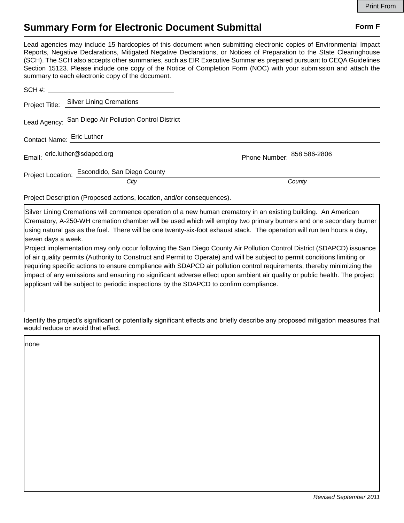## **Summary Form for Electronic Document Submittal Form F Form F**

Lead agencies may include 15 hardcopies of this document when submitting electronic copies of Environmental Impact Reports, Negative Declarations, Mitigated Negative Declarations, or Notices of Preparation to the State Clearinghouse (SCH). The SCH also accepts other summaries, such as EIR Executive Summaries prepared pursuant to CEQA Guidelines Section 15123. Please include one copy of the Notice of Completion Form (NOC) with your submission and attach the summary to each electronic copy of the document.

|                               | Project Title: Silver Lining Cremations               |                            |
|-------------------------------|-------------------------------------------------------|----------------------------|
|                               | Lead Agency: San Diego Air Pollution Control District |                            |
| Contact Name: Eric Luther     |                                                       |                            |
| Email: eric.luther@sdapcd.org |                                                       | Phone Number: 858 586-2806 |
|                               | Project Location: Escondido, San Diego County         |                            |
|                               | City                                                  | County                     |

Project Description (Proposed actions, location, and/or consequences).

Silver Lining Cremations will commence operation of a new human crematory in an existing building. An American Crematory, A-250-WH cremation chamber will be used which will employ two primary burners and one secondary burner using natural gas as the fuel. There will be one twenty-six-foot exhaust stack. The operation will run ten hours a day, seven days a week.

Project implementation may only occur following the San Diego County Air Pollution Control District (SDAPCD) issuance of air quality permits (Authority to Construct and Permit to Operate) and will be subject to permit conditions limiting or requiring specific actions to ensure compliance with SDAPCD air pollution control requirements, thereby minimizing the impact of any emissions and ensuring no significant adverse effect upon ambient air quality or public health. The project applicant will be subject to periodic inspections by the SDAPCD to confirm compliance.

Identify the project's significant or potentially significant effects and briefly describe any proposed mitigation measures that would reduce or avoid that effect.

none